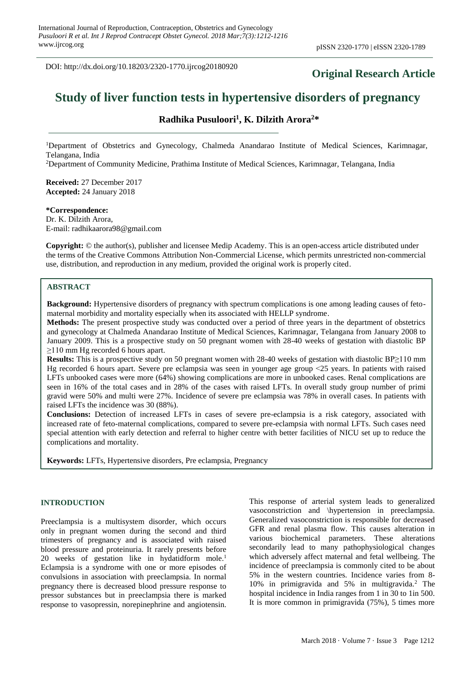DOI: http://dx.doi.org/10.18203/2320-1770.ijrcog20180920

## **Original Research Article**

# **Study of liver function tests in hypertensive disorders of pregnancy**

## **Radhika Pusuloori<sup>1</sup> , K. Dilzith Arora<sup>2</sup>\***

<sup>1</sup>Department of Obstetrics and Gynecology, Chalmeda Anandarao Institute of Medical Sciences, Karimnagar, Telangana, India

<sup>2</sup>Department of Community Medicine, Prathima Institute of Medical Sciences, Karimnagar, Telangana, India

**Received:** 27 December 2017 **Accepted:** 24 January 2018

#### **\*Correspondence:**

Dr. K. Dilzith Arora, E-mail: radhikaarora98@gmail.com

**Copyright:** © the author(s), publisher and licensee Medip Academy. This is an open-access article distributed under the terms of the Creative Commons Attribution Non-Commercial License, which permits unrestricted non-commercial use, distribution, and reproduction in any medium, provided the original work is properly cited.

## **ABSTRACT**

**Background:** Hypertensive disorders of pregnancy with spectrum complications is one among leading causes of fetomaternal morbidity and mortality especially when its associated with HELLP syndrome.

**Methods:** The present prospective study was conducted over a period of three years in the department of obstetrics and gynecology at Chalmeda Anandarao Institute of Medical Sciences, Karimnagar, Telangana from January 2008 to January 2009. This is a prospective study on 50 pregnant women with 28-40 weeks of gestation with diastolic BP ≥110 mm Hg recorded 6 hours apart.

**Results:** This is a prospective study on 50 pregnant women with 28-40 weeks of gestation with diastolic BP≥110 mm Hg recorded 6 hours apart. Severe pre eclampsia was seen in younger age group ˂25 years. In patients with raised LFTs unbooked cases were more (64%) showing complications are more in unbooked cases. Renal complications are seen in 16% of the total cases and in 28% of the cases with raised LFTs. In overall study group number of primi gravid were 50% and multi were 27%. Incidence of severe pre eclampsia was 78% in overall cases. In patients with raised LFTs the incidence was 30 (88%).

**Conclusions:** Detection of increased LFTs in cases of severe pre-eclampsia is a risk category, associated with increased rate of feto-maternal complications, compared to severe pre-eclampsia with normal LFTs. Such cases need special attention with early detection and referral to higher centre with better facilities of NICU set up to reduce the complications and mortality.

**Keywords:** LFTs, Hypertensive disorders, Pre eclampsia, Pregnancy

## **INTRODUCTION**

Preeclampsia is a multisystem disorder, which occurs only in pregnant women during the second and third trimesters of pregnancy and is associated with raised blood pressure and proteinuria. It rarely presents before 20 weeks of gestation like in hydatidform mole.<sup>1</sup> Eclampsia is a syndrome with one or more episodes of convulsions in association with preeclampsia. In normal pregnancy there is decreased blood pressure response to pressor substances but in preeclampsia there is marked response to vasopressin, norepinephrine and angiotensin. This response of arterial system leads to generalized vasoconstriction and \hypertension in preeclampsia. Generalized vasoconstriction is responsible for decreased GFR and renal plasma flow. This causes alteration in various biochemical parameters. These alterations secondarily lead to many pathophysiological changes which adversely affect maternal and fetal wellbeing. The incidence of preeclampsia is commonly cited to be about 5% in the western countries. Incidence varies from 8- 10% in primigravida and 5% in multigravida.<sup>2</sup> The hospital incidence in India ranges from 1 in 30 to 1in 500. It is more common in primigravida (75%), 5 times more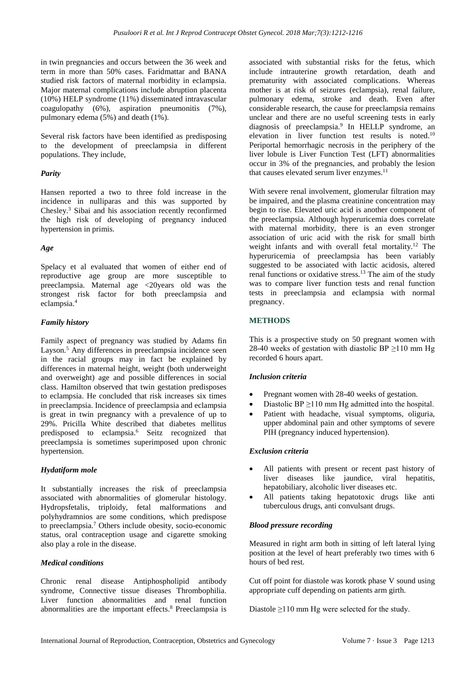in twin pregnancies and occurs between the 36 week and term in more than 50% cases. Faridmattar and BANA studied risk factors of maternal morbidity in eclampsia. Major maternal complications include abruption placenta (10%) HELP syndrome (11%) disseminated intravascular coagulopathy (6%), aspiration pneumonitis (7%), pulmonary edema (5%) and death (1%).

Several risk factors have been identified as predisposing to the development of preeclampsia in different populations. They include,

## *Parity*

Hansen reported a two to three fold increase in the incidence in nulliparas and this was supported by Chesley.<sup>3</sup> Sibai and his association recently reconfirmed the high risk of developing of pregnancy induced hypertension in primis.

## *Age*

Spelacy et al evaluated that women of either end of reproductive age group are more susceptible to preeclampsia. Maternal age <20years old was the strongest risk factor for both preeclampsia and eclampsia.<sup>4</sup>

#### *Family history*

Family aspect of pregnancy was studied by Adams fin Layson.<sup>5</sup> Any differences in preeclampsia incidence seen in the racial groups may in fact be explained by differences in maternal height, weight (both underweight and overweight) age and possible differences in social class. Hamilton observed that twin gestation predisposes to eclampsia. He concluded that risk increases six times in preeclampsia. Incidence of preeclampsia and eclampsia is great in twin pregnancy with a prevalence of up to 29%. Pricilla White described that diabetes mellitus predisposed to eclampsia.<sup>6</sup> Seitz recognized that preeclampsia is sometimes superimposed upon chronic hypertension.

## *Hydatiform mole*

It substantially increases the risk of preeclampsia associated with abnormalities of glomerular histology. Hydropsfetalis, triploidy, fetal malformations and polyhydramnios are some conditions, which predispose to preeclampsia.<sup>7</sup> Others include obesity, socio-economic status, oral contraception usage and cigarette smoking also play a role in the disease.

## *Medical conditions*

Chronic renal disease Antiphospholipid antibody syndrome, Connective tissue diseases Thrombophilia. Liver function abnormalities and renal function abnormalities are the important effects.<sup>8</sup> Preeclampsia is associated with substantial risks for the fetus, which include intrauterine growth retardation, death and prematurity with associated complications. Whereas mother is at risk of seizures (eclampsia), renal failure, pulmonary edema, stroke and death. Even after considerable research, the cause for preeclampsia remains unclear and there are no useful screening tests in early diagnosis of preeclampsia.<sup>9</sup> In HELLP syndrome, an elevation in liver function test results is noted.<sup>10</sup> Periportal hemorrhagic necrosis in the periphery of the liver lobule is Liver Function Test (LFT) abnormalities occur in 3% of the pregnancies, and probably the lesion that causes elevated serum liver enzymes.<sup>11</sup>

With severe renal involvement, glomerular filtration may be impaired, and the plasma creatinine concentration may begin to rise. Elevated uric acid is another component of the preeclampsia. Although hyperuricemia does correlate with maternal morbidity, there is an even stronger association of uric acid with the risk for small birth weight infants and with overall fetal mortality.<sup>12</sup> The hyperuricemia of preeclampsia has been variably suggested to be associated with lactic acidosis, altered renal functions or oxidative stress.<sup>13</sup> The aim of the study was to compare liver function tests and renal function tests in preeclampsia and eclampsia with normal pregnancy.

## **METHODS**

This is a prospective study on 50 pregnant women with 28-40 weeks of gestation with diastolic BP  $\geq$ 110 mm Hg recorded 6 hours apart.

## *Inclusion criteria*

- Pregnant women with 28-40 weeks of gestation.
- Diastolic BP  $\geq$ 110 mm Hg admitted into the hospital.
- Patient with headache, visual symptoms, oliguria, upper abdominal pain and other symptoms of severe PIH (pregnancy induced hypertension).

## *Exclusion criteria*

- All patients with present or recent past history of liver diseases like jaundice, viral hepatitis, hepatobiliary, alcoholic liver diseases etc.
- All patients taking hepatotoxic drugs like anti tuberculous drugs, anti convulsant drugs.

## *Blood pressure recording*

Measured in right arm both in sitting of left lateral lying position at the level of heart preferably two times with 6 hours of bed rest.

Cut off point for diastole was korotk phase V sound using appropriate cuff depending on patients arm girth.

Diastole ≥110 mm Hg were selected for the study.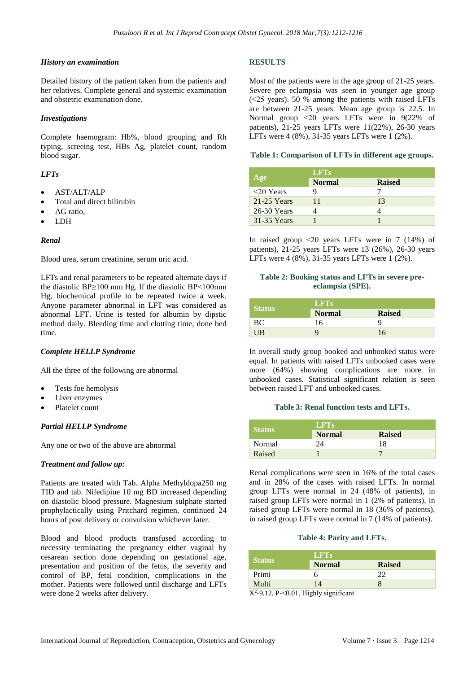#### *History an examination*

Detailed history of the patient taken from the patients and her relatives. Complete general and systemic examination and obstetric examination done.

#### *Investigations*

Complete haemogram: Hb%, blood grouping and Rh typing, screeing test, HBs Ag, platelet count, random blood sugar.

## *LFTs*

- AST/ALT/ALP
- Total and direct bilirubin
- AG ratio,
- LDH

#### *Renal*

Blood urea, serum creatinine, serum uric acid.

LFTs and renal parameters to be repeated alternate days if the diastolic BP≥100 mm Hg. If the diastolic BP˂100mm Hg, biochemical profile to be repeated twice a week. Anyone parameter abnormal in LFT was considered as abnormal LFT. Urine is tested for albumin by dipstic method daily. Bleeding time and clotting time, done bed time.

#### *Complete HELLP Syndrome*

All the three of the following are abnormal

- Tests foe hemolysis
- Liver enzymes
- Platelet count

## *Partial HELLP Syndrome*

Any one or two of the above are abnormal

## *Treatment and follow up:*

Patients are treated with Tab. Alpha Methyldopa250 mg TID and tab. Nifedipine 10 mg BD increased depending on diastolic blood pressure. Magnesium sulphate started prophylactically using Pritchard regimen, continued 24 hours of post delivery or convulsion whichever later.

Blood and blood products transfused according to necessity terminating the pregnancy either vaginal by cesarean section done depending on gestational age, presentation and position of the fetus, the severity and control of BP, fetal condition, complications in the mother. Patients were followed until discharge and LFTs were done 2 weeks after delivery.

## **RESULTS**

Most of the patients were in the age group of 21-25 years. Severe pre eclampsia was seen in younger age group (˂25 years). 50 % among the patients with raised LFTs are between 21-25 years. Mean age group is 22.5. In Normal group ˂20 years LFTs were in 9(22% of patients), 21-25 years LFTs were 11(22%), 26-30 years LFTs were 4 (8%), 31-35 years LFTs were 1 (2%).

## **Table 1: Comparison of LFTs in different age groups.**

|                 | LFTS          |               |
|-----------------|---------------|---------------|
| Age             | <b>Normal</b> | <b>Raised</b> |
| $\leq$ 20 Years |               |               |
| $21-25$ Years   | 11            | 13            |
| $26-30$ Years   |               |               |
| 31-35 Years     |               |               |

In raised group ˂20 years LFTs were in 7 (14%) of patients), 21-25 years LFTs were 13 (26%), 26-30 years LFTs were 4 (8%), 31-35 years LFTs were 1 (2%).

## **Table 2: Booking status and LFTs in severe preeclampsia (SPE).**

|               | <b>LFTs</b>   |               |
|---------------|---------------|---------------|
| <b>Status</b> | <b>Normal</b> | <b>Raised</b> |
| ВC            | 16            |               |
| UB            |               | 16            |

In overall study group booked and unbooked status were equal. In patients with raised LFTs unbooked cases were more (64%) showing complications are more in unbooked cases. Statistical significant relation is seen between raised LFT and unbooked cases.

#### **Table 3: Renal function tests and LFTs.**

| <b>Status</b> | <b>LFTs</b>   |               |  |
|---------------|---------------|---------------|--|
|               | <b>Normal</b> | <b>Raised</b> |  |
| Normal        | 24            | 18            |  |
| Raised        |               |               |  |

Renal complications were seen in 16% of the total cases and in 28% of the cases with raised LFTs. In normal group LFTs were normal in 24 (48% of patients), in raised group LFTs were normal in 1 (2% of patients), in raised group LFTs were normal in 18 (36% of patients), in raised group LFTs were normal in 7 (14% of patients).

#### **Table 4: Parity and LFTs.**

| <b>Status</b> | <b>LFTs</b>                                     |               |  |
|---------------|-------------------------------------------------|---------------|--|
|               | <b>Normal</b>                                   | <b>Raised</b> |  |
| Primi         |                                                 |               |  |
| Multi         | 14                                              |               |  |
|               | $\mathbf{r} \cdot \mathbf{r}$<br>$\cdot$ $\sim$ |               |  |

 $X^2$ -9.12, P-<0.01, Highly significant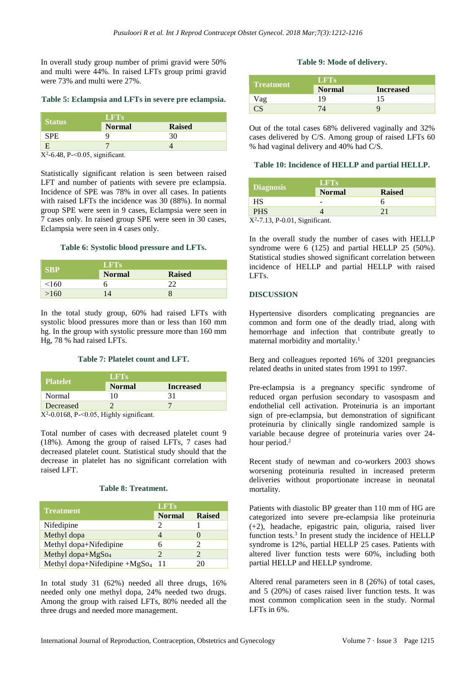In overall study group number of primi gravid were 50% and multi were 44%. In raised LFTs group primi gravid were 73% and multi were 27%.

## **Table 5: Eclampsia and LFTs in severe pre eclampsia.**

| <b>Status</b> | <b>LFTs</b>   |               |
|---------------|---------------|---------------|
|               | <b>Normal</b> | <b>Raised</b> |
| SPE.          |               | 30            |
|               |               |               |

 $X^2$ -6.48, P-<0.05, significant.

Statistically significant relation is seen between raised LFT and number of patients with severe pre eclampsia. Incidence of SPE was 78% in over all cases. In patients with raised LFTs the incidence was 30 (88%). In normal group SPE were seen in 9 cases, Eclampsia were seen in 7 cases only. In raised group SPE were seen in 30 cases, Eclampsia were seen in 4 cases only.

#### **Table 6: Systolic blood pressure and LFTs.**

| SBP   | <b>LFTs</b>   |               |
|-------|---------------|---------------|
|       | <b>Normal</b> | <b>Raised</b> |
| < 160 |               |               |
| >160  |               |               |

In the total study group, 60% had raised LFTs with systolic blood pressures more than or less than 160 mm hg. In the group with systolic pressure more than 160 mm Hg, 78 % had raised LFTs.

## **Table 7: Platelet count and LFT.**

| <b>Platelet</b>                                                                                                                                                                                                                                                                                  | LFTs          |                  |  |
|--------------------------------------------------------------------------------------------------------------------------------------------------------------------------------------------------------------------------------------------------------------------------------------------------|---------------|------------------|--|
|                                                                                                                                                                                                                                                                                                  | <b>Normal</b> | <b>Increased</b> |  |
| Normal                                                                                                                                                                                                                                                                                           | 10            |                  |  |
| Decreased                                                                                                                                                                                                                                                                                        |               |                  |  |
| $\mathbf{r}$ and $\mathbf{r}$ and $\mathbf{r}$ and $\mathbf{r}$ and $\mathbf{r}$ and $\mathbf{r}$ and $\mathbf{r}$ and $\mathbf{r}$ and $\mathbf{r}$ and $\mathbf{r}$ and $\mathbf{r}$ and $\mathbf{r}$ and $\mathbf{r}$ and $\mathbf{r}$ and $\mathbf{r}$ and $\mathbf{r}$ and $\mathbf{r}$ and |               |                  |  |

 $X^2$ -0.0168, P-<0.05, Highly significant.

Total number of cases with decreased platelet count 9 (18%). Among the group of raised LFTs, 7 cases had decreased platelet count. Statistical study should that the decrease in platelet has no significant correlation with raised LFT.

## **Table 8: Treatment.**

|                                           | <b>LFTs</b>           |               |
|-------------------------------------------|-----------------------|---------------|
| <b>Treatment</b>                          | <b>Normal</b>         | <b>Raised</b> |
| Nifedipine                                |                       |               |
| Methyl dopa                               |                       |               |
| Methyl dopa+Nifedipine                    |                       |               |
| Methyl dopa+ $MgSo4$                      | $\mathcal{D}_{\cdot}$ |               |
| Methyl dopa+Nifedipine +MgSo <sub>4</sub> | 11                    | 20            |

In total study 31 (62%) needed all three drugs, 16% needed only one methyl dopa, 24% needed two drugs. Among the group with raised LFTs, 80% needed all the three drugs and needed more management.

## **Table 9: Mode of delivery.**

|                  | LFTs          |                  |
|------------------|---------------|------------------|
| <b>Treatment</b> | <b>Normal</b> | <b>Increased</b> |
| /ag              | 19            |                  |
|                  |               |                  |

Out of the total cases 68% delivered vaginally and 32% cases delivered by C/S. Among group of raised LFTs 60 % had vaginal delivery and 40% had C/S.

## **Table 10: Incidence of HELLP and partial HELLP.**

|                                   | <b>LET'S</b>  |               |
|-----------------------------------|---------------|---------------|
| <b>Diagnosis</b>                  | <b>Normal</b> | <b>Raised</b> |
| <b>HS</b>                         |               |               |
| <b>PHS</b>                        |               | 21            |
| $X^2$ -7.13, P-0.01, Significant. |               |               |

In the overall study the number of cases with HELLP syndrome were 6 (125) and partial HELLP 25 (50%). Statistical studies showed significant correlation between incidence of HELLP and partial HELLP with raised LFTs.

## **DISCUSSION**

Hypertensive disorders complicating pregnancies are common and form one of the deadly triad, along with hemorrhage and infection that contribute greatly to maternal morbidity and mortality.<sup>1</sup>

Berg and colleagues reported 16% of 3201 pregnancies related deaths in united states from 1991 to 1997.

Pre-eclampsia is a pregnancy specific syndrome of reduced organ perfusion secondary to vasospasm and endothelial cell activation. Proteinuria is an important sign of pre-eclampsia, but demonstration of significant proteinuria by clinically single randomized sample is variable because degree of proteinuria varies over 24 hour period.<sup>2</sup>

Recent study of newman and co-workers 2003 shows worsening proteinuria resulted in increased preterm deliveries without proportionate increase in neonatal mortality.

Patients with diastolic BP greater than 110 mm of HG are categorized into severe pre-eclampsia like proteinuria (+2), headache, epigastric pain, oliguria, raised liver function tests.<sup>3</sup> In present study the incidence of HELLP syndrome is 12%, partial HELLP 25 cases. Patients with altered liver function tests were 60%, including both partial HELLP and HELLP syndrome.

Altered renal parameters seen in 8 (26%) of total cases, and 5 (20%) of cases raised liver function tests. It was most common complication seen in the study. Normal LFTs in  $6\%$ .